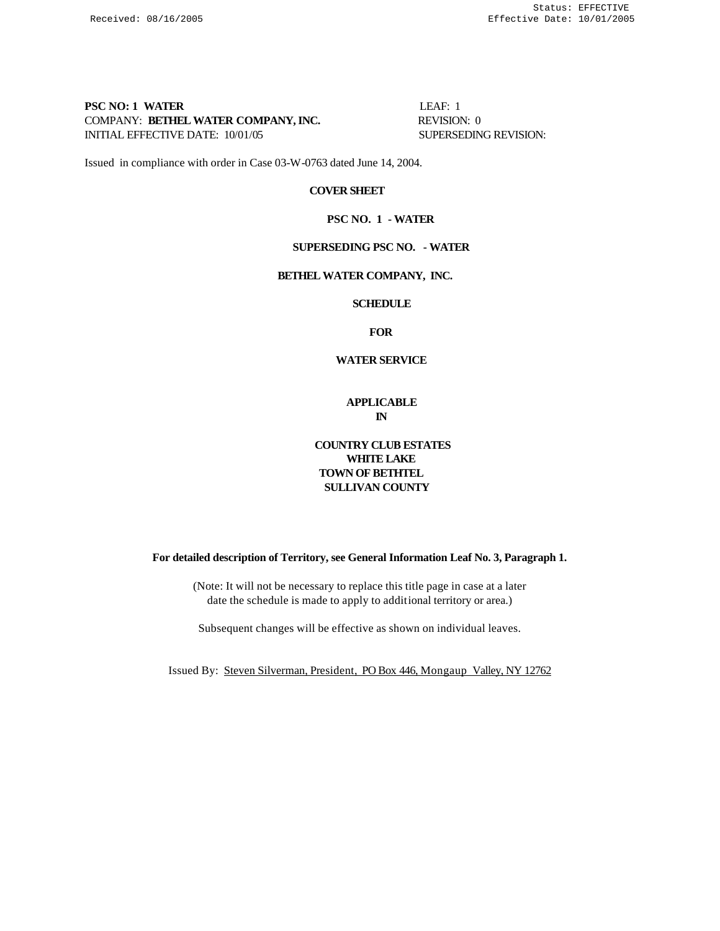# **PSC NO: 1 WATER** LEAF: 1 COMPANY: **BETHEL WATER COMPANY, INC.** REVISION: 0 INITIAL EFFECTIVE DATE:  $10/01/05$  SUPERSEDING REVISION:

Issued in compliance with order in Case 03-W-0763 dated June 14, 2004.

#### **COVER SHEET**

#### **PSC NO. 1 - WATER**

# **SUPERSEDING PSC NO. - WATER**

#### **BETHEL WATER COMPANY, INC.**

#### **SCHEDULE**

**FOR**

#### **WATER SERVICE**

**APPLICABLE IN**

# **COUNTRY CLUB ESTATES WHITE LAKE TOWN OF BETHTEL SULLIVAN COUNTY**

**For detailed description of Territory, see General Information Leaf No. 3, Paragraph 1.**

(Note: It will not be necessary to replace this title page in case at a later date the schedule is made to apply to additional territory or area.)

Subsequent changes will be effective as shown on individual leaves.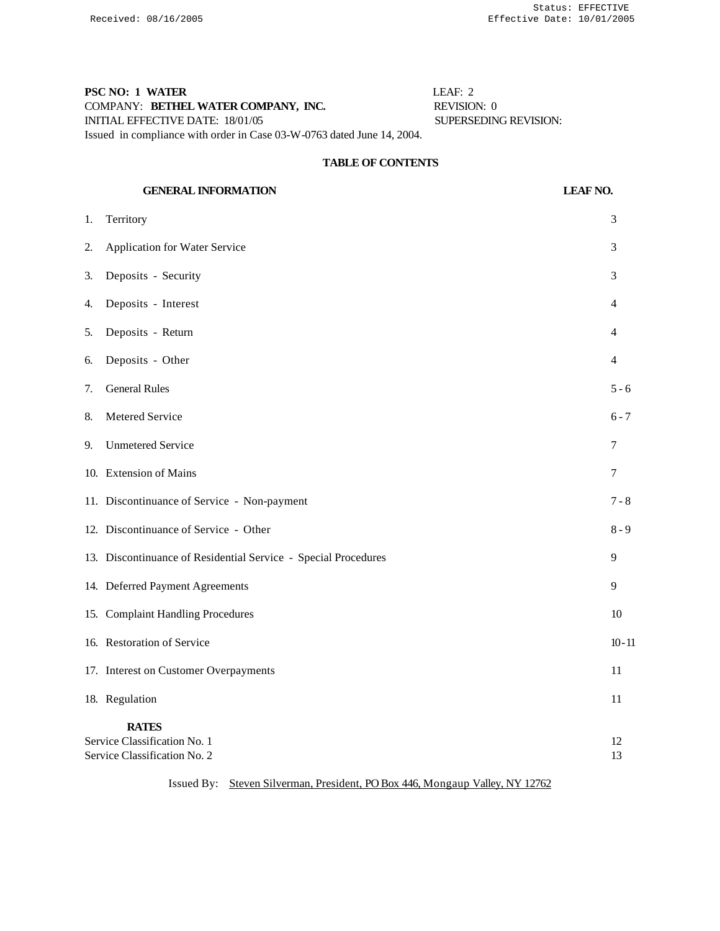# **PSC NO: 1 WATER** LEAF: 2 COMPANY: **BETHEL WATER COMPANY, INC.** REVISION: 0 INITIAL EFFECTIVE DATE: 18/01/05 SUPERSEDING REVISION: Issued in compliance with order in Case 03-W-0763 dated June 14, 2004.

# **TABLE OF CONTENTS**

# **GENERAL INFORMATION** LEAF NO.

| 1. | Territory                                                                    | 3              |
|----|------------------------------------------------------------------------------|----------------|
| 2. | <b>Application for Water Service</b>                                         | 3              |
| 3. | Deposits - Security                                                          | 3              |
| 4. | Deposits - Interest                                                          | 4              |
| 5. | Deposits - Return                                                            | $\overline{4}$ |
| 6. | Deposits - Other                                                             | 4              |
| 7. | <b>General Rules</b>                                                         | $5 - 6$        |
| 8. | Metered Service                                                              | $6 - 7$        |
| 9. | <b>Unmetered Service</b>                                                     | 7              |
|    | 10. Extension of Mains                                                       | 7              |
|    | 11. Discontinuance of Service - Non-payment                                  | $7 - 8$        |
|    | 12. Discontinuance of Service - Other                                        | $8 - 9$        |
|    | 13. Discontinuance of Residential Service - Special Procedures               | 9              |
|    | 14. Deferred Payment Agreements                                              | 9              |
|    | 15. Complaint Handling Procedures                                            | 10             |
|    | 16. Restoration of Service                                                   | $10 - 11$      |
|    | 17. Interest on Customer Overpayments                                        | 11             |
|    | 18. Regulation                                                               | 11             |
|    | <b>RATES</b><br>Service Classification No. 1<br>Service Classification No. 2 |                |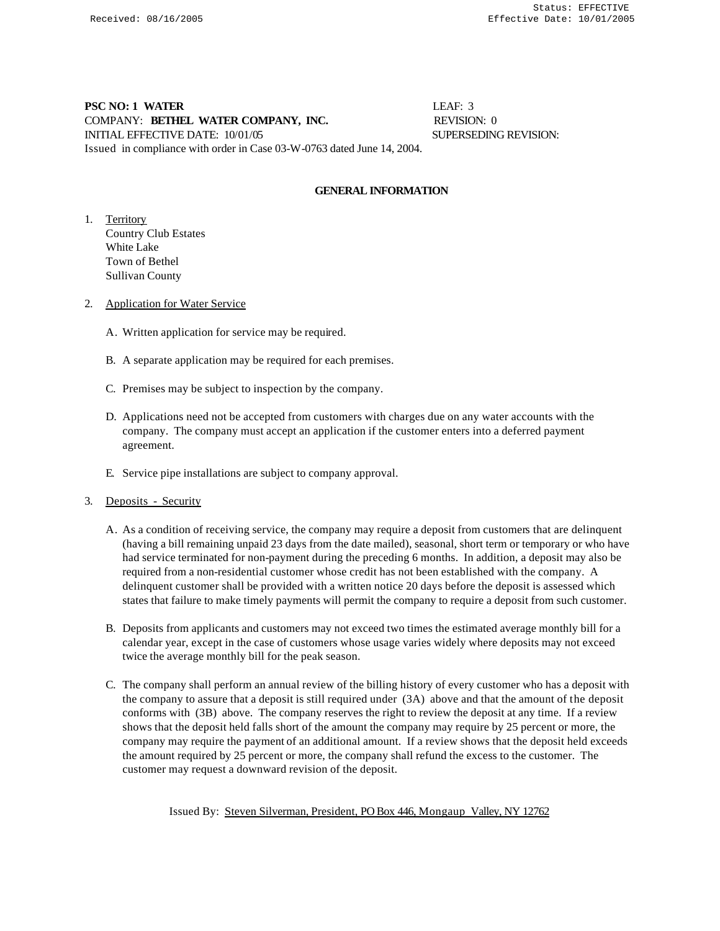# **PSC NO: 1 WATER** LEAF: 3 COMPANY: **BETHEL WATER COMPANY, INC.** REVISION: 0 INITIAL EFFECTIVE DATE: 10/01/05 SUPERSEDING REVISION: Issued in compliance with order in Case 03-W-0763 dated June 14, 2004.

# **GENERAL INFORMATION**

1. Territory Country Club Estates White Lake Town of Bethel Sullivan County

- 2. Application for Water Service
	- A. Written application for service may be required.
	- B. A separate application may be required for each premises.
	- C. Premises may be subject to inspection by the company.
	- D. Applications need not be accepted from customers with charges due on any water accounts with the company. The company must accept an application if the customer enters into a deferred payment agreement.
	- E. Service pipe installations are subject to company approval.
- 3. Deposits Security
	- A. As a condition of receiving service, the company may require a deposit from customers that are delinquent (having a bill remaining unpaid 23 days from the date mailed), seasonal, short term or temporary or who have had service terminated for non-payment during the preceding 6 months. In addition, a deposit may also be required from a non-residential customer whose credit has not been established with the company. A delinquent customer shall be provided with a written notice 20 days before the deposit is assessed which states that failure to make timely payments will permit the company to require a deposit from such customer.
	- B. Deposits from applicants and customers may not exceed two times the estimated average monthly bill for a calendar year, except in the case of customers whose usage varies widely where deposits may not exceed twice the average monthly bill for the peak season.
	- C. The company shall perform an annual review of the billing history of every customer who has a deposit with the company to assure that a deposit is still required under (3A) above and that the amount of the deposit conforms with (3B) above. The company reserves the right to review the deposit at any time. If a review shows that the deposit held falls short of the amount the company may require by 25 percent or more, the company may require the payment of an additional amount. If a review shows that the deposit held exceeds the amount required by 25 percent or more, the company shall refund the excess to the customer. The customer may request a downward revision of the deposit.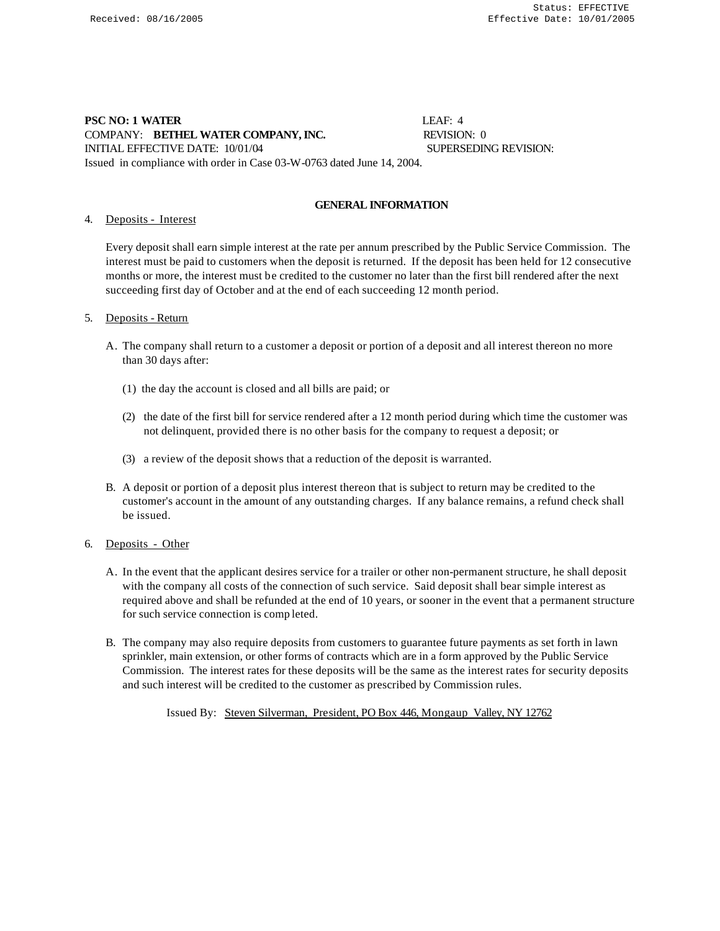# **PSC NO: 1 WATER** LEAF: 4 COMPANY: **BETHEL WATER COMPANY, INC.** REVISION: 0 INITIAL EFFECTIVE DATE: 10/01/04 SUPERSEDING REVISION:

Issued in compliance with order in Case 03-W-0763 dated June 14, 2004.

# **GENERAL INFORMATION**

# 4. Deposits - Interest

Every deposit shall earn simple interest at the rate per annum prescribed by the Public Service Commission. The interest must be paid to customers when the deposit is returned. If the deposit has been held for 12 consecutive months or more, the interest must be credited to the customer no later than the first bill rendered after the next succeeding first day of October and at the end of each succeeding 12 month period.

# 5. Deposits - Return

- A. The company shall return to a customer a deposit or portion of a deposit and all interest thereon no more than 30 days after:
	- (1) the day the account is closed and all bills are paid; or
	- (2) the date of the first bill for service rendered after a 12 month period during which time the customer was not delinquent, provided there is no other basis for the company to request a deposit; or
	- (3) a review of the deposit shows that a reduction of the deposit is warranted.
- B. A deposit or portion of a deposit plus interest thereon that is subject to return may be credited to the customer's account in the amount of any outstanding charges. If any balance remains, a refund check shall be issued.

# 6. Deposits - Other

- A. In the event that the applicant desires service for a trailer or other non-permanent structure, he shall deposit with the company all costs of the connection of such service. Said deposit shall bear simple interest as required above and shall be refunded at the end of 10 years, or sooner in the event that a permanent structure for such service connection is comp leted.
- B. The company may also require deposits from customers to guarantee future payments as set forth in lawn sprinkler, main extension, or other forms of contracts which are in a form approved by the Public Service Commission. The interest rates for these deposits will be the same as the interest rates for security deposits and such interest will be credited to the customer as prescribed by Commission rules.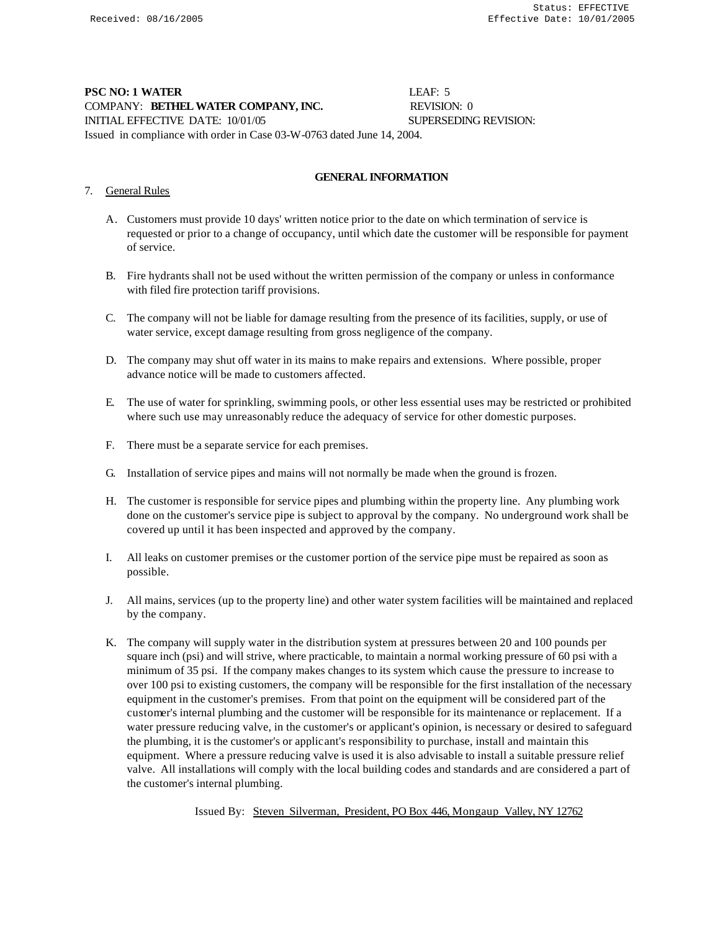# **PSC NO: 1 WATER** LEAF: 5 COMPANY: **BETHEL WATER COMPANY, INC.** REVISION: 0 INITIAL EFFECTIVE DATE:  $10/01/05$  SUPERSEDING REVISION: Issued in compliance with order in Case 03-W-0763 dated June 14, 2004.

# **GENERAL INFORMATION**

# 7. General Rules

- A. Customers must provide 10 days' written notice prior to the date on which termination of service is requested or prior to a change of occupancy, until which date the customer will be responsible for payment of service.
- B. Fire hydrants shall not be used without the written permission of the company or unless in conformance with filed fire protection tariff provisions.
- C. The company will not be liable for damage resulting from the presence of its facilities, supply, or use of water service, except damage resulting from gross negligence of the company.
- D. The company may shut off water in its mains to make repairs and extensions. Where possible, proper advance notice will be made to customers affected.
- E. The use of water for sprinkling, swimming pools, or other less essential uses may be restricted or prohibited where such use may unreasonably reduce the adequacy of service for other domestic purposes.
- F. There must be a separate service for each premises.
- G. Installation of service pipes and mains will not normally be made when the ground is frozen.
- H. The customer is responsible for service pipes and plumbing within the property line. Any plumbing work done on the customer's service pipe is subject to approval by the company. No underground work shall be covered up until it has been inspected and approved by the company.
- I. All leaks on customer premises or the customer portion of the service pipe must be repaired as soon as possible.
- J. All mains, services (up to the property line) and other water system facilities will be maintained and replaced by the company.
- K. The company will supply water in the distribution system at pressures between 20 and 100 pounds per square inch (psi) and will strive, where practicable, to maintain a normal working pressure of 60 psi with a minimum of 35 psi. If the company makes changes to its system which cause the pressure to increase to over 100 psi to existing customers, the company will be responsible for the first installation of the necessary equipment in the customer's premises. From that point on the equipment will be considered part of the customer's internal plumbing and the customer will be responsible for its maintenance or replacement. If a water pressure reducing valve, in the customer's or applicant's opinion, is necessary or desired to safeguard the plumbing, it is the customer's or applicant's responsibility to purchase, install and maintain this equipment. Where a pressure reducing valve is used it is also advisable to install a suitable pressure relief valve. All installations will comply with the local building codes and standards and are considered a part of the customer's internal plumbing.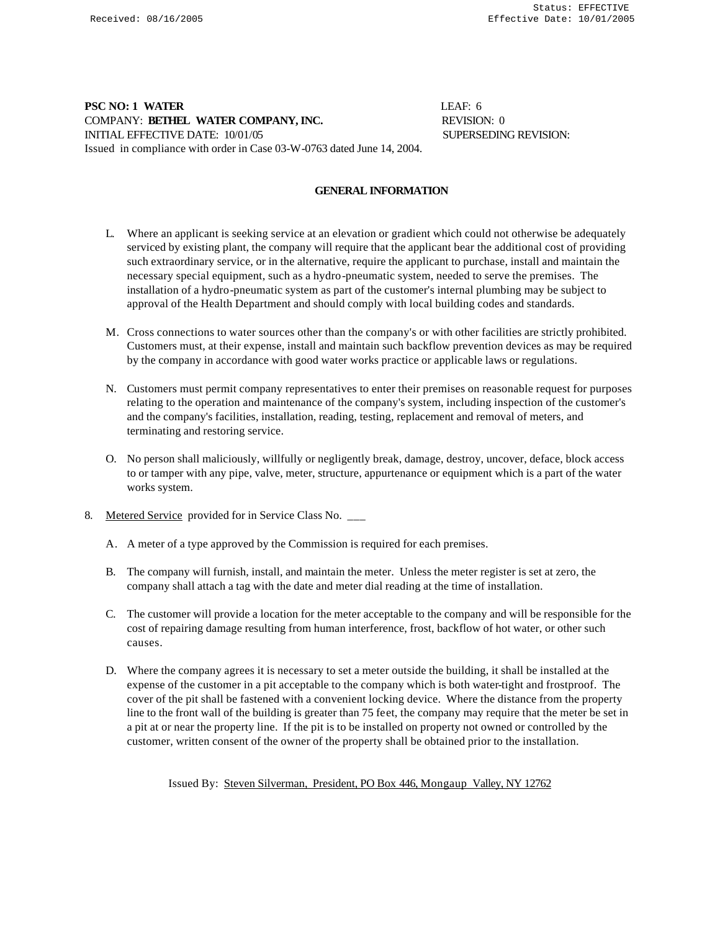# **PSC NO: 1 WATER** LEAF: 6 COMPANY: **BETHEL WATER COMPANY, INC.** REVISION: 0 INITIAL EFFECTIVE DATE: 10/01/05 SUPERSEDING REVISION: Issued in compliance with order in Case 03-W-0763 dated June 14, 2004.

# **GENERAL INFORMATION**

- L. Where an applicant is seeking service at an elevation or gradient which could not otherwise be adequately serviced by existing plant, the company will require that the applicant bear the additional cost of providing such extraordinary service, or in the alternative, require the applicant to purchase, install and maintain the necessary special equipment, such as a hydro-pneumatic system, needed to serve the premises. The installation of a hydro-pneumatic system as part of the customer's internal plumbing may be subject to approval of the Health Department and should comply with local building codes and standards.
- M. Cross connections to water sources other than the company's or with other facilities are strictly prohibited. Customers must, at their expense, install and maintain such backflow prevention devices as may be required by the company in accordance with good water works practice or applicable laws or regulations.
- N. Customers must permit company representatives to enter their premises on reasonable request for purposes relating to the operation and maintenance of the company's system, including inspection of the customer's and the company's facilities, installation, reading, testing, replacement and removal of meters, and terminating and restoring service.
- O. No person shall maliciously, willfully or negligently break, damage, destroy, uncover, deface, block access to or tamper with any pipe, valve, meter, structure, appurtenance or equipment which is a part of the water works system.
- 8. Metered Service provided for in Service Class No. \_\_\_
	- A. A meter of a type approved by the Commission is required for each premises.
	- B. The company will furnish, install, and maintain the meter. Unless the meter register is set at zero, the company shall attach a tag with the date and meter dial reading at the time of installation.
	- C. The customer will provide a location for the meter acceptable to the company and will be responsible for the cost of repairing damage resulting from human interference, frost, backflow of hot water, or other such causes.
	- D. Where the company agrees it is necessary to set a meter outside the building, it shall be installed at the expense of the customer in a pit acceptable to the company which is both water-tight and frostproof. The cover of the pit shall be fastened with a convenient locking device. Where the distance from the property line to the front wall of the building is greater than 75 feet, the company may require that the meter be set in a pit at or near the property line. If the pit is to be installed on property not owned or controlled by the customer, written consent of the owner of the property shall be obtained prior to the installation.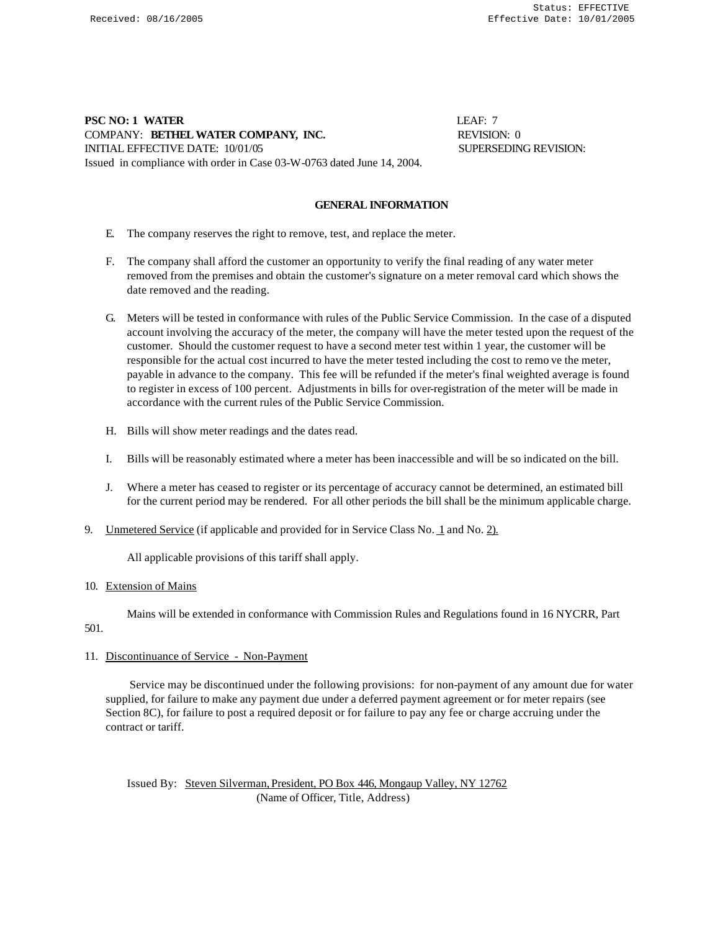# **PSC NO: 1 WATER LEAF: 7** COMPANY: **BETHEL WATER COMPANY, INC.** REVISION: 0 INITIAL EFFECTIVE DATE: 10/01/05 SUPERSEDING REVISION: Issued in compliance with order in Case 03-W-0763 dated June 14, 2004.

# **GENERAL INFORMATION**

- E. The company reserves the right to remove, test, and replace the meter.
- F. The company shall afford the customer an opportunity to verify the final reading of any water meter removed from the premises and obtain the customer's signature on a meter removal card which shows the date removed and the reading.
- G. Meters will be tested in conformance with rules of the Public Service Commission. In the case of a disputed account involving the accuracy of the meter, the company will have the meter tested upon the request of the customer. Should the customer request to have a second meter test within 1 year, the customer will be responsible for the actual cost incurred to have the meter tested including the cost to remo ve the meter, payable in advance to the company. This fee will be refunded if the meter's final weighted average is found to register in excess of 100 percent. Adjustments in bills for over-registration of the meter will be made in accordance with the current rules of the Public Service Commission.
- H. Bills will show meter readings and the dates read.
- I. Bills will be reasonably estimated where a meter has been inaccessible and will be so indicated on the bill.
- J. Where a meter has ceased to register or its percentage of accuracy cannot be determined, an estimated bill for the current period may be rendered. For all other periods the bill shall be the minimum applicable charge.
- 9. Unmetered Service (if applicable and provided for in Service Class No. 1 and No. 2).

All applicable provisions of this tariff shall apply.

#### 10. Extension of Mains

Mains will be extended in conformance with Commission Rules and Regulations found in 16 NYCRR, Part

# 501.

# 11. Discontinuance of Service - Non-Payment

 Service may be discontinued under the following provisions: for non-payment of any amount due for water supplied, for failure to make any payment due under a deferred payment agreement or for meter repairs (see Section 8C), for failure to post a required deposit or for failure to pay any fee or charge accruing under the contract or tariff.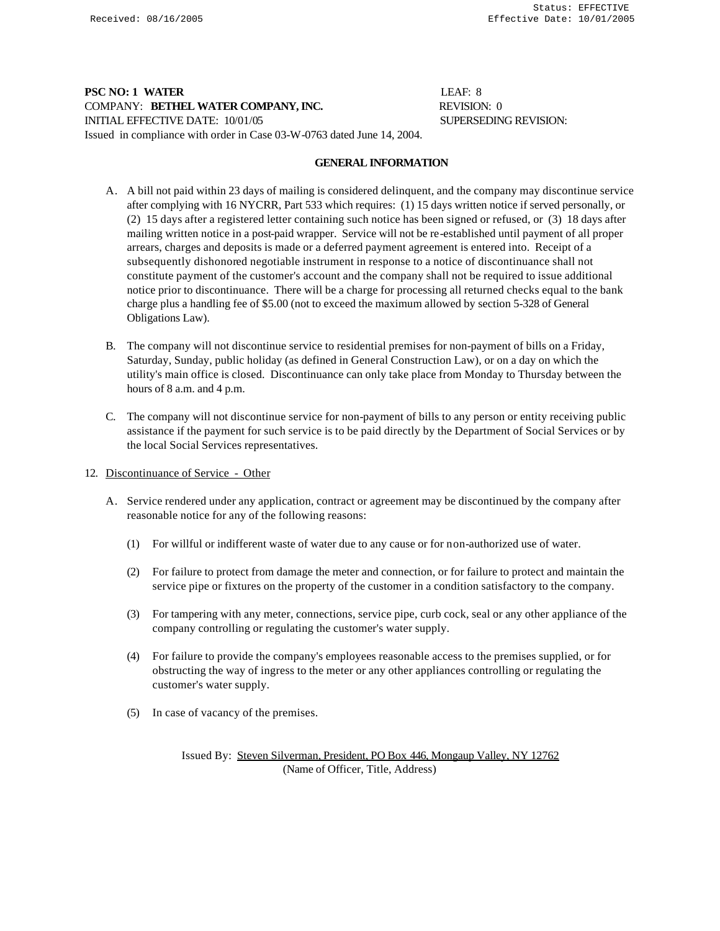# **PSC NO: 1 WATER** LEAF: 8 COMPANY: **BETHEL WATER COMPANY, INC.** REVISION: 0 INITIAL EFFECTIVE DATE:  $10/01/05$  SUPERSEDING REVISION: Issued in compliance with order in Case 03-W-0763 dated June 14, 2004.

#### **GENERAL INFORMATION**

- A. A bill not paid within 23 days of mailing is considered delinquent, and the company may discontinue service after complying with 16 NYCRR, Part 533 which requires: (1) 15 days written notice if served personally, or (2) 15 days after a registered letter containing such notice has been signed or refused, or (3) 18 days after mailing written notice in a post-paid wrapper. Service will not be re-established until payment of all proper arrears, charges and deposits is made or a deferred payment agreement is entered into. Receipt of a subsequently dishonored negotiable instrument in response to a notice of discontinuance shall not constitute payment of the customer's account and the company shall not be required to issue additional notice prior to discontinuance. There will be a charge for processing all returned checks equal to the bank charge plus a handling fee of \$5.00 (not to exceed the maximum allowed by section 5-328 of General Obligations Law).
- B. The company will not discontinue service to residential premises for non-payment of bills on a Friday, Saturday, Sunday, public holiday (as defined in General Construction Law), or on a day on which the utility's main office is closed. Discontinuance can only take place from Monday to Thursday between the hours of 8 a.m. and 4 p.m.
- C. The company will not discontinue service for non-payment of bills to any person or entity receiving public assistance if the payment for such service is to be paid directly by the Department of Social Services or by the local Social Services representatives.
- 12. Discontinuance of Service Other
	- A. Service rendered under any application, contract or agreement may be discontinued by the company after reasonable notice for any of the following reasons:
		- (1) For willful or indifferent waste of water due to any cause or for non-authorized use of water.
		- (2) For failure to protect from damage the meter and connection, or for failure to protect and maintain the service pipe or fixtures on the property of the customer in a condition satisfactory to the company.
		- (3) For tampering with any meter, connections, service pipe, curb cock, seal or any other appliance of the company controlling or regulating the customer's water supply.
		- (4) For failure to provide the company's employees reasonable access to the premises supplied, or for obstructing the way of ingress to the meter or any other appliances controlling or regulating the customer's water supply.
		- (5) In case of vacancy of the premises.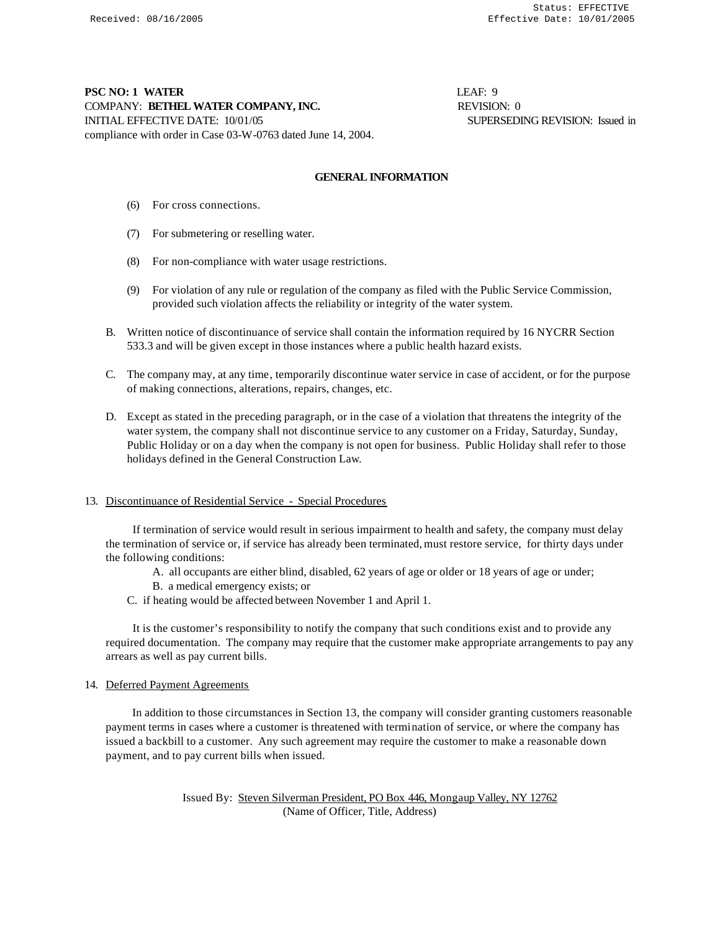# **PSC NO: 1 WATER** LEAF: 9 COMPANY: **BETHEL WATER COMPANY, INC.** REVISION: 0 INITIAL EFFECTIVE DATE: 10/01/05 SUPERSEDING REVISION: Issued in compliance with order in Case 03-W-0763 dated June 14, 2004.

### **GENERAL INFORMATION**

- (6) For cross connections.
- (7) For submetering or reselling water.
- (8) For non-compliance with water usage restrictions.
- (9) For violation of any rule or regulation of the company as filed with the Public Service Commission, provided such violation affects the reliability or integrity of the water system.
- B. Written notice of discontinuance of service shall contain the information required by 16 NYCRR Section 533.3 and will be given except in those instances where a public health hazard exists.
- C. The company may, at any time, temporarily discontinue water service in case of accident, or for the purpose of making connections, alterations, repairs, changes, etc.
- D. Except as stated in the preceding paragraph, or in the case of a violation that threatens the integrity of the water system, the company shall not discontinue service to any customer on a Friday, Saturday, Sunday, Public Holiday or on a day when the company is not open for business. Public Holiday shall refer to those holidays defined in the General Construction Law.

# 13. Discontinuance of Residential Service - Special Procedures

 If termination of service would result in serious impairment to health and safety, the company must delay the termination of service or, if service has already been terminated, must restore service, for thirty days under the following conditions:

- A. all occupants are either blind, disabled, 62 years of age or older or 18 years of age or under;
- B. a medical emergency exists; or
- C. if heating would be affected between November 1 and April 1.

 It is the customer's responsibility to notify the company that such conditions exist and to provide any required documentation. The company may require that the customer make appropriate arrangements to pay any arrears as well as pay current bills.

#### 14. Deferred Payment Agreements

 In addition to those circumstances in Section 13, the company will consider granting customers reasonable payment terms in cases where a customer is threatened with termination of service, or where the company has issued a backbill to a customer. Any such agreement may require the customer to make a reasonable down payment, and to pay current bills when issued.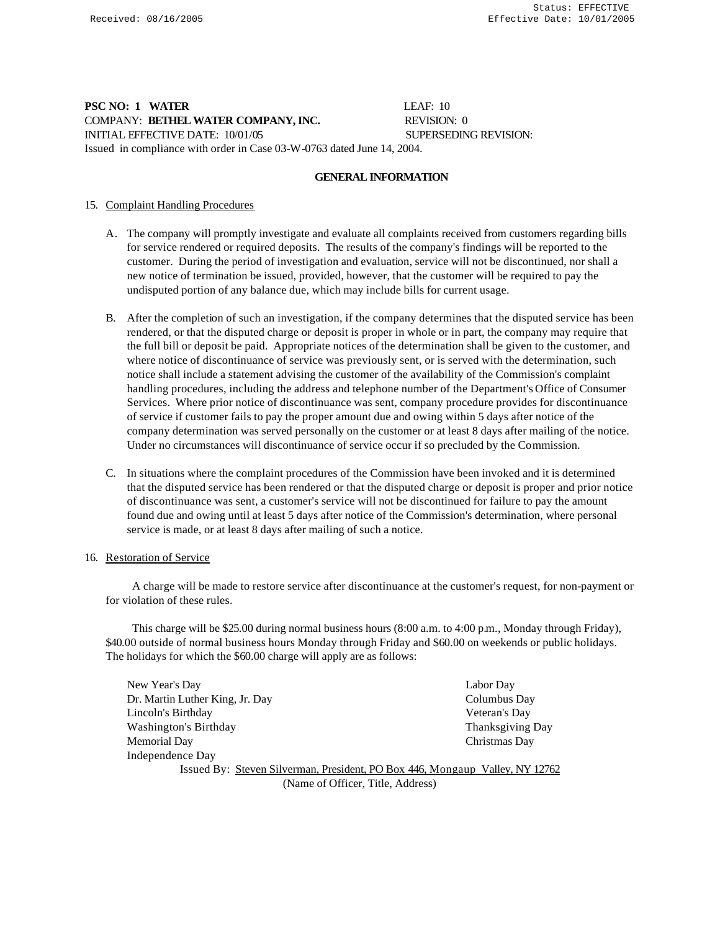# **PSC NO: 1 WATER LEAF: 10** COMPANY: **BETHEL WATER COMPANY, INC.** REVISION: 0 INITIAL EFFECTIVE DATE: 10/01/05 SUPERSEDING REVISION: Issued in compliance with order in Case 03-W-0763 dated June 14, 2004.

### **GENERAL INFORMATION**

# 15. Complaint Handling Procedures

- A. The company will promptly investigate and evaluate all complaints received from customers regarding bills for service rendered or required deposits. The results of the company's findings will be reported to the customer. During the period of investigation and evaluation, service will not be discontinued, nor shall a new notice of termination be issued, provided, however, that the customer will be required to pay the undisputed portion of any balance due, which may include bills for current usage.
- B. After the completion of such an investigation, if the company determines that the disputed service has been rendered, or that the disputed charge or deposit is proper in whole or in part, the company may require that the full bill or deposit be paid. Appropriate notices of the determination shall be given to the customer, and where notice of discontinuance of service was previously sent, or is served with the determination, such notice shall include a statement advising the customer of the availability of the Commission's complaint handling procedures, including the address and telephone number of the Department's Office of Consumer Services. Where prior notice of discontinuance was sent, company procedure provides for discontinuance of service if customer fails to pay the proper amount due and owing within 5 days after notice of the company determination was served personally on the customer or at least 8 days after mailing of the notice. Under no circumstances will discontinuance of service occur if so precluded by the Commission.
- C. In situations where the complaint procedures of the Commission have been invoked and it is determined that the disputed service has been rendered or that the disputed charge or deposit is proper and prior notice of discontinuance was sent, a customer's service will not be discontinued for failure to pay the amount found due and owing until at least 5 days after notice of the Commission's determination, where personal service is made, or at least 8 days after mailing of such a notice.

#### 16. Restoration of Service

 A charge will be made to restore service after discontinuance at the customer's request, for non-payment or for violation of these rules.

 This charge will be \$25.00 during normal business hours (8:00 a.m. to 4:00 p.m., Monday through Friday), \$40.00 outside of normal business hours Monday through Friday and \$60.00 on weekends or public holidays. The holidays for which the \$60.00 charge will apply are as follows:

| New Year's Day                                                               | Labor Day               |  |
|------------------------------------------------------------------------------|-------------------------|--|
| Dr. Martin Luther King, Jr. Day                                              | Columbus Day            |  |
| Lincoln's Birthday                                                           | Veteran's Day           |  |
| Washington's Birthday                                                        | <b>Thanksgiving Day</b> |  |
| Memorial Day                                                                 | Christmas Day           |  |
| Independence Day                                                             |                         |  |
| Issued By: Steven Silverman, President, PO Box 446, Mongaup Valley, NY 12762 |                         |  |

(Name of Officer, Title, Address)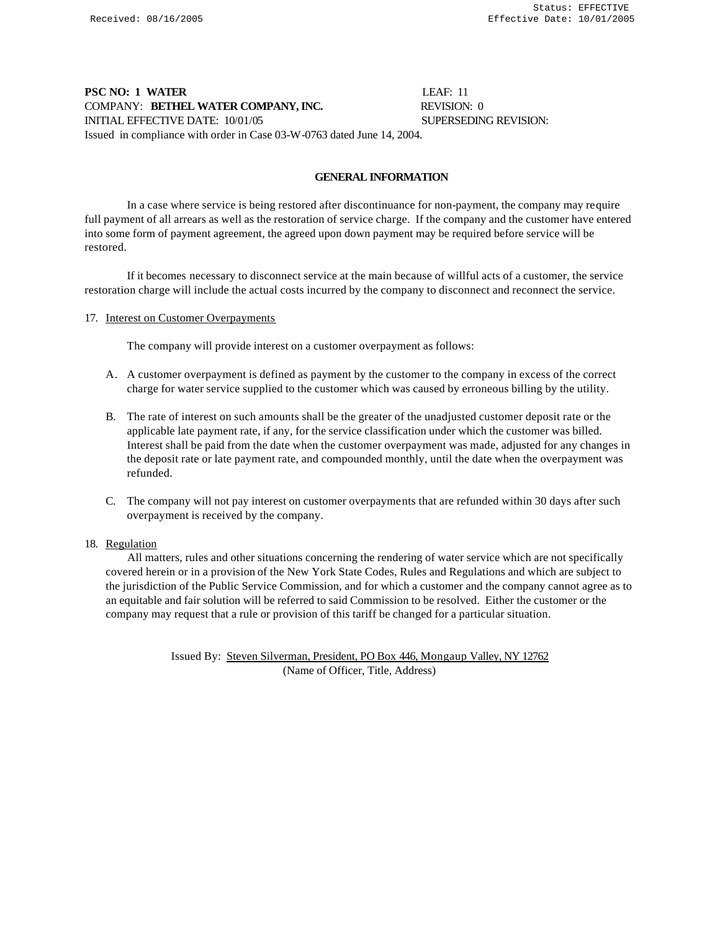# **PSC NO: 1 WATER** LEAF: 11 COMPANY: **BETHEL WATER COMPANY, INC.** REVISION: 0 INITIAL EFFECTIVE DATE: 10/01/05 SUPERSEDING REVISION: Issued in compliance with order in Case 03-W-0763 dated June 14, 2004.

### **GENERAL INFORMATION**

In a case where service is being restored after discontinuance for non-payment, the company may require full payment of all arrears as well as the restoration of service charge. If the company and the customer have entered into some form of payment agreement, the agreed upon down payment may be required before service will be restored.

If it becomes necessary to disconnect service at the main because of willful acts of a customer, the service restoration charge will include the actual costs incurred by the company to disconnect and reconnect the service.

#### 17. Interest on Customer Overpayments

The company will provide interest on a customer overpayment as follows:

- A. A customer overpayment is defined as payment by the customer to the company in excess of the correct charge for water service supplied to the customer which was caused by erroneous billing by the utility.
- B. The rate of interest on such amounts shall be the greater of the unadjusted customer deposit rate or the applicable late payment rate, if any, for the service classification under which the customer was billed. Interest shall be paid from the date when the customer overpayment was made, adjusted for any changes in the deposit rate or late payment rate, and compounded monthly, until the date when the overpayment was refunded.
- C. The company will not pay interest on customer overpayments that are refunded within 30 days after such overpayment is received by the company.

#### 18. Regulation

 All matters, rules and other situations concerning the rendering of water service which are not specifically covered herein or in a provision of the New York State Codes, Rules and Regulations and which are subject to the jurisdiction of the Public Service Commission, and for which a customer and the company cannot agree as to an equitable and fair solution will be referred to said Commission to be resolved. Either the customer or the company may request that a rule or provision of this tariff be changed for a particular situation.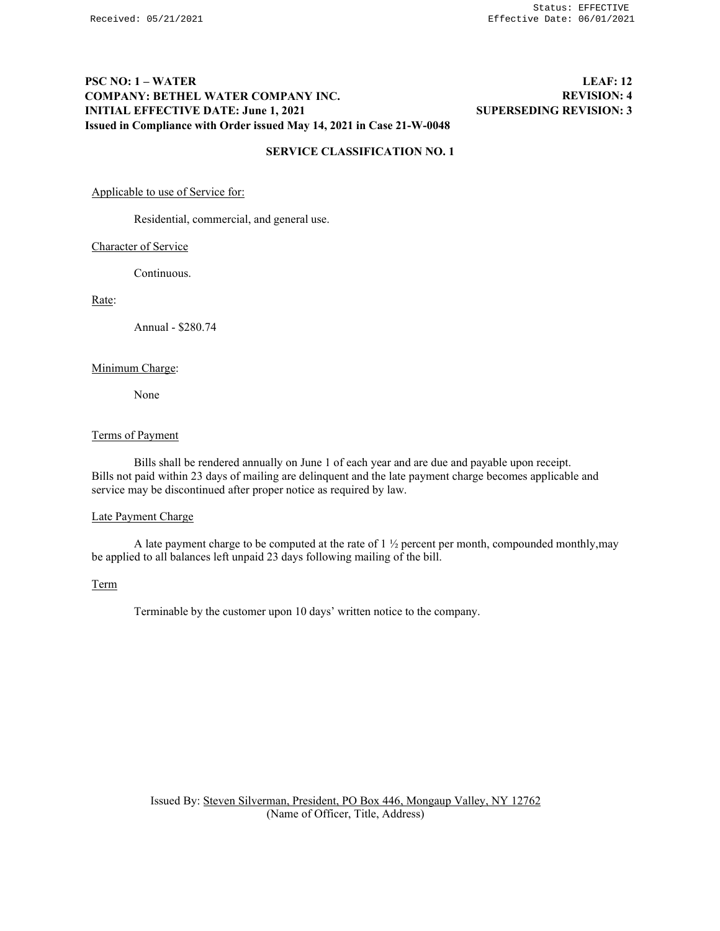# **PSC NO: 1 – WATER COMPANY: BETHEL WATER COMPANY INC. INITIAL EFFECTIVE DATE: June 1, 2021 Issued in Compliance with Order issued May 14, 2021 in Case 21-W-0048**

# **LEAF: 12 REVISION: 4 SUPERSEDING REVISION: 3**

## **SERVICE CLASSIFICATION NO. 1**

Applicable to use of Service for:

Residential, commercial, and general use.

#### Character of Service

Continuous.

Rate:

Annual - \$280.74

# Minimum Charge:

None

# Terms of Payment

Bills shall be rendered annually on June 1 of each year and are due and payable upon receipt. Bills not paid within 23 days of mailing are delinquent and the late payment charge becomes applicable and service may be discontinued after proper notice as required by law.

# Late Payment Charge

A late payment charge to be computed at the rate of 1 ½ percent per month, compounded monthly,may be applied to all balances left unpaid 23 days following mailing of the bill.

## Term

Terminable by the customer upon 10 days' written notice to the company.